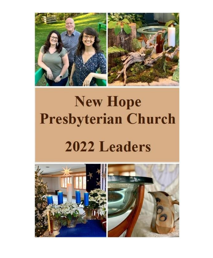

# **New Hope Presbyterian Church** 2022 Leaders

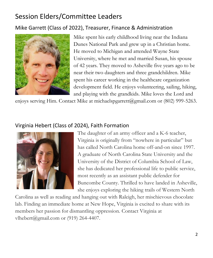# Session Elders/Committee Leaders

#### Mike Garrett (Class of 2022), Treasurer, Finance & Administration



Mike spent his early childhood living near the Indiana Dunes National Park and grew up in a Christian home. He moved to Michigan and attended Wayne State University, where he met and married Susan, his spouse of 42 years. They moved to Asheville five years ago to be near their two daughters and three grandchildren. Mike spent his career working in the healthcare organization development field. He enjoys volunteering, sailing, hiking, and playing with the grandkids. Mike loves the Lord and

enjoys serving Him. Contact Mike at michaelspgarrett@gmail.com or (802) 999-5263.

#### Virginia Hebert (Class of 2024), Faith Formation



The daughter of an army officer and a K-6 teacher, Virginia is originally from "nowhere in particular" but has called North Carolina home off-and-on since 1997. A graduate of North Carolina State University and the University of the District of Columbia School of Law, she has dedicated her professional life to public service, most recently as an assistant public defender for Buncombe County. Thrilled to have landed in Asheville, she enjoys exploring the hiking trails of Western North

Carolina as well as reading and hanging out with Raleigh, her mischievous chocolate lab. Finding an immediate home at New Hope, Virginia is excited to share with its members her passion for dismantling oppression. Contact Virginia at vlhebert@gmail.com or (919) 264-4407.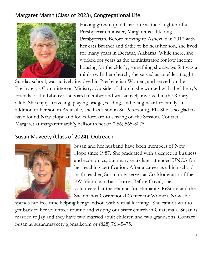### Margaret Marsh (Class of 2023), Congregational Life



Having grown up in Charlotte as the daughter of a Presbyterian minister, Margaret is a lifelong Presbyterian. Before moving to Asheville in 2017 with her cats Brother and Sadie to be near her son, she lived for many years in Decatur, Alabama. While there, she worked for years as the administrator for low income housing for the elderly, something she always felt was a ministry. In her church, she served as an elder, taught

Sunday school, was actively involved in Presbyterian Women, and served on the Presbytery's Committee on Ministry. Outside of church, she worked with the library's Friends of the Library as a board member and was actively involved in the Rotary Club. She enjoys traveling, playing bridge, reading, and being near her family. In addition to her son in Asheville, she has a son in St. Petersburg, FL. She is so glad to have found New Hope and looks forward to serving on the Session. Contact Margaret at margaretmarsh@bellsouth.net or (256) 565-8075.

#### Susan Maveety (Class of 2024), Outreach



Susan and her husband have been members of New Hope since 1987. She graduated with a degree in business and economics, but many years later attended UNCA for her teaching certification. After a career as a high school math teacher, Susan now serves as Co-Moderator of the PW Microloan Task Force. Before Covid, she volunteered at the Habitat for Humanity ReStore and the Swannanoa Correctional Center for Women. Now she

spends her free time helping her grandson with virtual learning. She cannot wait to get back to her volunteer routine and visiting our sister church in Guatemala. Susan is married to Jay and they have two married adult children and two grandsons. Contact Susan at susan.maveety@gmail.com or (828) 768-5475.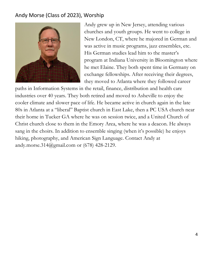#### Andy Morse (Class of 2023), Worship



Andy grew up in New Jersey, attending various churches and youth groups. He went to college in New London, CT, where he majored in German and was active in music programs, jazz ensembles, etc. His German studies lead him to the master's program at Indiana University in Bloomington where he met Elaine. They both spent time in Germany on exchange fellowships. After receiving their degrees, they moved to Atlanta where they followed career

paths in Information Systems in the retail, finance, distribution and health care industries over 40 years. They both retired and moved to Asheville to enjoy the cooler climate and slower pace of life. He became active in church again in the late 80s in Atlanta at a "liberal" Baptist church in East Lake, then a PC USA church near their home in Tucker GA where he was on session twice, and a United Church of Christ church close to them in the Emory Area, where he was a deacon. He always sang in the choirs. In addition to ensemble singing (when it's possible) he enjoys hiking, photography, and American Sign Language. Contact Andy at andy.morse.314@gmail.com or (678) 428-2129.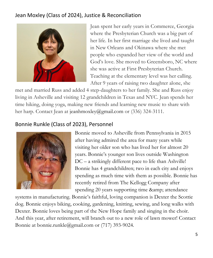#### Jean Moxley (Class of 2024), Justice & Reconciliation



Jean spent her early years in Commerce, Georgia where the Presbyterian Church was a big part of her life. In her first marriage she lived and taught in New Orleans and Okinawa where she met people who expanded her view of the world and God's love. She moved to Greensboro, NC where she was active at First Presbyterian Church. Teaching at the elementary level was her calling. After 9 years of raising two daughter alone, she

met and married Russ and added 4 step-daughters to her family. She and Russ enjoy living in Asheville and visiting 12 grandchildren in Texas and NYC. Jean spends her time hiking, doing yoga, making new friends and learning new music to share with her harp. Contact Jean at [jeanhmoxley@gmail.com](mailto:jeanhmoxley@gmail.com) or (336) 324-3111.

#### Bonnie Runkle (Class of 2023), Personnel



Bonnie moved to Asheville from Pennsylvania in 2015 after having admired the area for many years while visiting her older son who has lived her for almost 20 years. Bonnie's younger son lives outside Washington DC – a strikingly different pace to life than Ashville! Bonnie has 4 grandchildren; two in each city and enjoys spending as much time with them as possible. Bonnie has recently retired from The Kellogg Company after spending 20 years supporting time & amp; attendance

systems in manufacturing. Bonnie's faithful, loving companion is Dexter the Scottie dog. Bonnie enjoys biking, cooking, gardening, knitting, sewing, and long walks with Dexter. Bonnie loves being part of the New Hope family and singing in the choir. And this year, after retirement, will branch out to a new role of lawn mower! Contact Bonnie at bonnie.runkle@gmail.com or (717) 393-9024.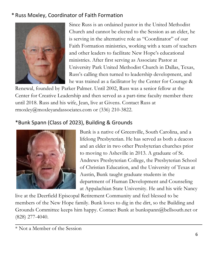#### \* Russ Moxley, Coordinator of Faith Formation



Since Russ is an ordained pastor in the United Methodist Church and cannot be elected to the Session as an elder, he is serving in the alternative role as "Coordinator" of our Faith Formation ministries, working with a team of teachers and other leaders to facilitate New Hope's educational ministries. After first serving as Associate Pastor at University Park United Methodist Church in Dallas, Texas, Russ's calling then turned to leadership development, and he was trained as a facilitator by the Center for Courage &

Renewal, founded by Parker Palmer. Until 2002, Russ was a senior fellow at the Center for Creative Leadership and then served as a part-time faculty member there until 2018. Russ and his wife, Jean, live at Givens. Contact Russ at rmoxley@moxleyandassociates.com or (336) 210-3822.

## \*Bunk Spann (Class of 2023), Building & Grounds



Bunk is a native of Greenville, South Carolina, and a lifelong Presbyterian. He has served as both a deacon and an elder in two other Presbyterian churches prior to moving to Asheville in 2013. A graduate of St. Andrews Presbyterian College, the Presbyterian School of Christian Education, and the University of Texas at Austin, Bunk taught graduate students in the department of Human Development and Counseling at Appalachian State University. He and his wife Nancy

live at the Deerfield Episcopal Retirement Community and feel blessed to be members of the New Hope family. Bunk loves to dig in the dirt, so the Building and Grounds Committee keeps him happy. Contact Bunk at bunkspann@bellsouth.net or (828) 277-4040.

<sup>\*</sup> Not a Member of the Session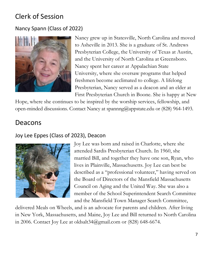# Clerk of Session

#### Nancy Spann (Class of 2022)



Nancy grew up in Statesville, North Carolina and moved to Asheville in 2013. She is a graduate of St. Andrews Presbyterian College, the University of Texas at Austin, and the University of North Carolina at Greensboro. Nancy spent her career at Appalachian State University, where she oversaw programs that helped freshmen become acclimated to college. A lifelong Presbyterian, Nancy served as a deacon and an elder at First Presbyterian Church in Boone. She is happy at New

Hope, where she continues to be inspired by the worship services, fellowship, and open-minded discussions. Contact Nancy at spannng@appstate.edu or (828) 964-1493.

## Deacons

#### Joy Lee Eppes (Class of 2023), Deacon



Joy Lee was born and raised in Charlotte, where she attended Sardis Presbyterian Church. In 1960, she married Bill, and together they have one son, Ryan, who lives in Plainville, Massachusetts. Joy Lee can best be described as a "professional volunteer," having served on the Board of Directors of the Mansfield Massachusetts Council on Aging and the United Way. She was also a member of the School Superintendent Search Committee and the Mansfield Town Manager Search Committee,

delivered Meals on Wheels, and is an advocate for parents and children. After living in New York, Massachusetts, and Maine, Joy Lee and Bill returned to North Carolina in 2006. Contact Joy Lee at oldsalt34@gmail.com or (828) 648-6674.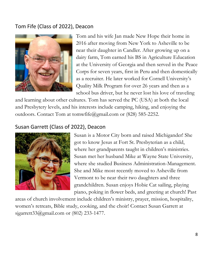#### Tom Fife (Class of 2022), Deacon



Tom and his wife Jan made New Hope their home in 2016 after moving from New York to Asheville to be near their daughter in Candler. After growing up on a dairy farm, Tom earned his BS in Agriculture Education at the University of Georgia and then served in the Peace Corps for seven years, first in Peru and then domestically as a recruiter. He later worked for Cornell University's Quality Milk Program for over 26 years and then as a school bus driver, but he never lost his love of traveling

and learning about other cultures. Tom has served the PC (USA) at both the local and Presbytery levels, and his interests include camping, hiking, and enjoying the outdoors. Contact Tom at tomwfife@gmail.com or (828) 585-2252.

#### Susan Garrett (Class of 2022), Deacon



Susan is a Motor City born and raised Michigander! She got to know Jesus at Fort St. Presbyterian as a child, where her grandparents taught in children's ministries. Susan met her husband Mike at Wayne State University, where she studied Business Administration-Management. She and Mike most recently moved to Asheville from Vermont to be near their two daughters and three grandchildren. Susan enjoys Hobie Cat sailing, playing piano, poking in flower beds, and greeting at church! Past

areas of church involvement include children's ministry, prayer, mission, hospitality, women's retreats, Bible study, cooking, and the choir! Contact Susan Garrett at sjgarrett33@gmail.com or (802) 233-1477.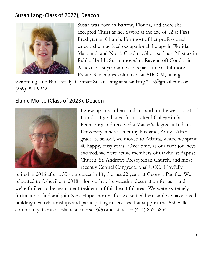#### Susan Lang (Class of 2022), Deacon



Susan was born in Bartow, Florida, and there she accepted Christ as her Savior at the age of 12 at First Presbyterian Church. For most of her professional career, she practiced occupational therapy in Florida, Maryland, and North Carolina. She also has a Masters in Public Health. Susan moved to Ravencroft Condos in Asheville last year and works part-time at Biltmore Estate. She enjoys volunteers at ABCCM, hiking,

swimming, and Bible study. Contact Susan Lang at susanlang7915@gmail.com or (239) 994-9242.

#### Elaine Morse (Class of 2023), Deacon



I grew up in southern Indiana and on the west coast of Florida. I graduated from Eckerd College in St. Petersburg and received a Master's degree at Indiana University, where I met my husband, Andy. After graduate school, we moved to Atlanta, where we spent 40 happy, busy years. Over time, as our faith journeys evolved, we were active members of Oakhurst Baptist Church, St. Andrews Presbyterian Church, and most recently Central Congregational UCC. I joyfully

retired in 2016 after a 35-year career in IT, the last 22 years at Georgia-Pacific. We relocated to Asheville in 2018 – long a favorite vacation destination for us – and we're thrilled to be permanent residents of this beautiful area! We were extremely fortunate to find and join New Hope shortly after we settled here, and we have loved building new relationships and participating in services that support the Asheville community. Contact Elaine at morse.e@comcast.net or (404) 852-5854.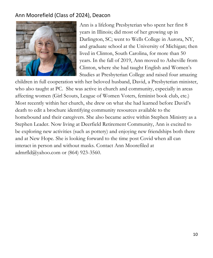#### Ann Moorefield (Class of 2024), Deacon



Ann is a lifelong Presbyterian who spent her first 8 years in Illinois; did most of her growing up in Darlington, SC; went to Wells College in Aurora, NY, and graduate school at the University of Michigan; then lived in Clinton, South Carolina, for more than 50 years. In the fall of 2019, Ann moved to Asheville from Clinton, where she had taught English and Women's Studies at Presbyterian College and raised four amazing

children in full cooperation with her beloved husband, David, a Presbyterian minister, who also taught at PC. She was active in church and community, especially in areas affecting women (Girl Scouts, League of Women Voters, feminist book club, etc.) Most recently within her church, she drew on what she had learned before David's death to edit a brochure identifying community resources available to the homebound and their caregivers. She also became active within Stephen Ministry as a Stephen Leader. Now living at Deerfield Retirement Community, Ann is excited to be exploring new activities (such as pottery) and enjoying new friendships both there and at New Hope. She is looking forward to the time post Covid when all can interact in person and without masks. Contact Ann Moorefiled at admrfld@yahoo.com or (864) 923-3560.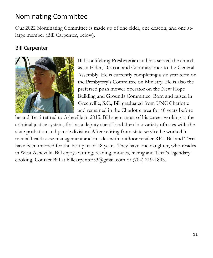## Nominating Committee

Our 2022 Nominating Committee is made up of one elder, one deacon, and one atlarge member (Bill Carpenter, below).

#### Bill Carpenter



Bill is a lifelong Presbyterian and has served the church as an Elder, Deacon and Commissioner to the General Assembly. He is currently completing a six year term on the Presbytery's Committee on Ministry. He is also the preferred push mower operator on the New Hope Building and Grounds Committee. Born and raised in Greenville, S.C., Bill graduated from UNC Charlotte and remained in the Charlotte area for 40 years before

he and Terri retired to Asheville in 2015. Bill spent most of his career working in the criminal justice system, first as a deputy sheriff and then in a variety of roles with the state probation and parole division. After retiring from state service he worked in mental health case management and in sales with outdoor retailer REI. Bill and Terri have been married for the best part of 48 years. They have one daughter, who resides in West Asheville. Bill enjoys writing, reading, movies, hiking and Terri's legendary cooking. Contact Bill at billcarpenter53@gmail.com or (704) 219-1893.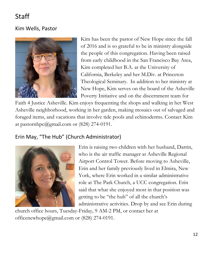# Staff

#### Kim Wells, Pastor



Kim has been the pastor of New Hope since the fall of 2016 and is so grateful to be in ministry alongside the people of this congregation. Having been raised from early childhood in the San Francisco Bay Area, Kim completed her B.A. at the University of California, Berkeley and her M.Div. at Princeton Theological Seminary. In addition to her ministry at New Hope, Kim serves on the board of the Asheville Poverty Initiative and on the discernment team for

Faith 4 Justice Asheville. Kim enjoys frequenting the shops and walking in her West Asheville neighborhood, working in her garden, making mosaics out of salvaged and foraged items, and vacations that involve tide pools and echinoderms. Contact Kim at pastornhpc@gmail.com or (828) 274-0191.

#### Erin May, "The Hub" (Church Administrator)



Erin is raising two children with her husband, Darrin, who is the air traffic manager at Asheville Regional Airport Control Tower. Before moving to Asheville, Erin and her family previously lived in Elmira, New York, where Erin worked in a similar administrative role at The Park Church, a UCC congregation. Erin said that what she enjoyed most in that position was getting to be "the hub" of all the church's administrative activities. Drop by and see Erin during

church office hours, Tuesday-Friday, 9 AM-2 PM, or contact her at officenewhope@gmail.com or (828) 274-0191.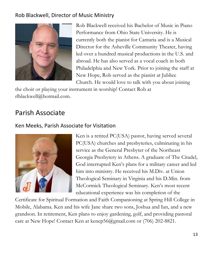#### Rob Blackwell, Director of Music Ministry



Rob Blackwell received his Bachelor of Music in Piano Performance from Ohio State University. He is currently both the pianist for Cantaria and is a Musical Director for the Asheville Community Theater, having led over a hundred musical productions in the U.S. and abroad. He has also served as a vocal coach in both Philadelphia and New York. Prior to joining the staff at New Hope, Rob served as the pianist at Jubliee Church. He would love to talk with you about joining

the choir or playing your instrument in worship! Contact Rob at rlblackwell@hotmail.com.

## Parish Associate

#### Ken Meeks, Parish Associate for Visitation



Ken is a retired PC(USA) pastor, having served several PC(USA) churches and presbyteries, culminating in his service as the General Presbyter of the Northeast Georgia Presbytery in Athens. A graduate of The Citadel, God interrupted Ken's plans for a military career and led him into ministry. He received his M.Div. at Union Theological Seminary in Virginia and his D.Min. from McCormick Theological Seminary. Ken's most recent educational experience was his completion of the

Certificate for Spiritual Formation and Faith Companioning at Spring Hill College in Mobile, Alabama. Ken and his wife Jane share two sons, Joshua and Ian, and a new grandson. In retirement, Ken plans to enjoy gardening, golf, and providing pastoral care at New Hope! Contact Ken at kenep56@gmail.com or (706) 202-8821.